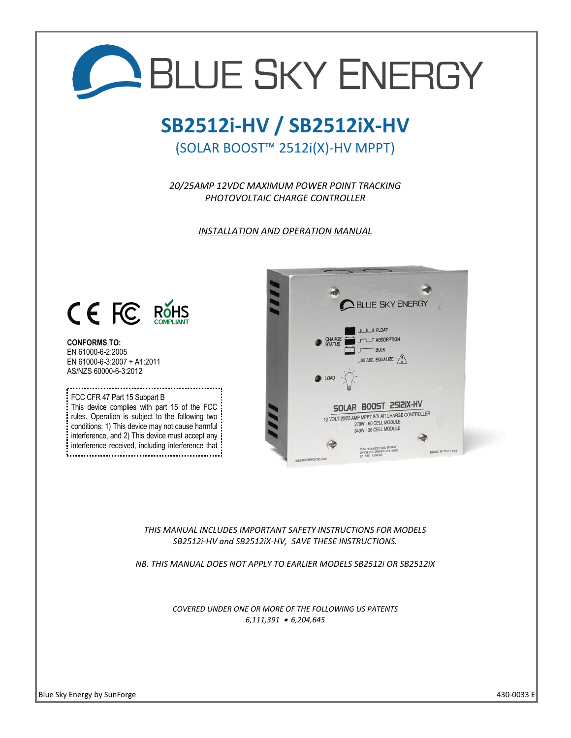

*THIS MANUAL INCLUDES IMPORTANT SAFETY INSTRUCTIONS FOR MODELS SB2512i-HV and SB2512iX-HV, SAVE THESE INSTRUCTIONS.*

*NB. THIS MANUAL DOES NOT APPLY TO EARLIER MODELS SB2512i OR SB2512iX*

*COVERED UNDER ONE OR MORE OF THE FOLLOWING US PATENTS 6,111,391* • *6,204,645*

 $\overline{\phantom{a}}$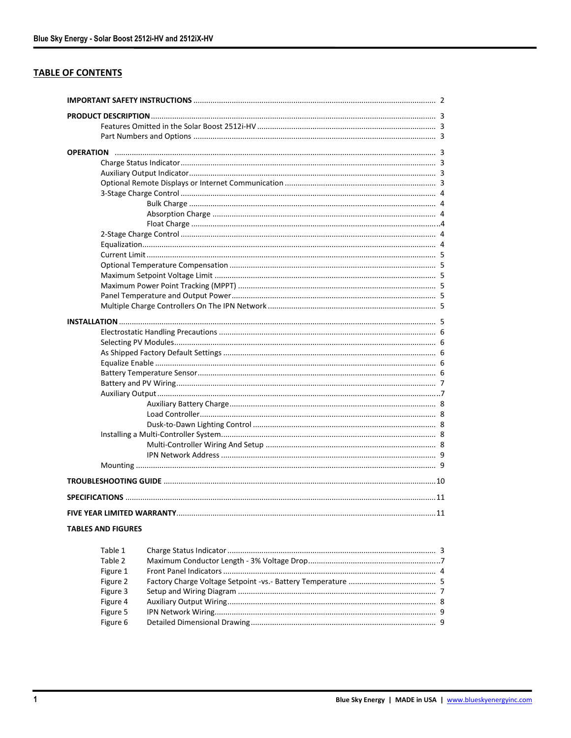# **TABLE OF CONTENTS**

| TABLES AND FIGURES |  |
|--------------------|--|

| Table 1  |  |
|----------|--|
| Table 2  |  |
| Figure 1 |  |
| Figure 2 |  |
| Figure 3 |  |
| Figure 4 |  |
| Figure 5 |  |
| Figure 6 |  |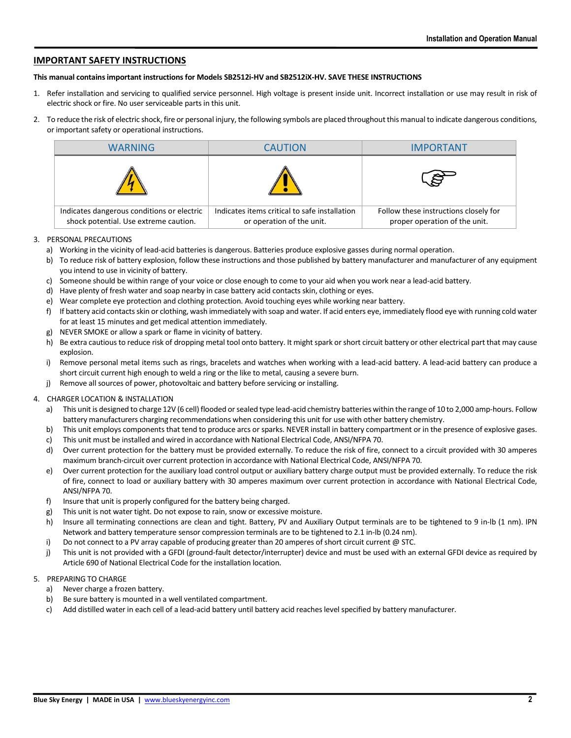## **IMPORTANT SAFETY INSTRUCTIONS**

#### **This manual contains important instructions for Models SB2512i-HV and SB2512iX-HV. SAVE THESE INSTRUCTIONS**

- 1. Refer installation and servicing to qualified service personnel. High voltage is present inside unit. Incorrect installation or use may result in risk of electric shock or fire. No user serviceable parts in this unit.
- 2. To reduce the risk of electric shock, fire or personal injury, the following symbols are placed throughout this manual to indicate dangerous conditions, or important safety or operational instructions.

| WARNING                                                                             | <b>CAUTION</b>                                                             | <b>IMPORTANT</b>                                                       |
|-------------------------------------------------------------------------------------|----------------------------------------------------------------------------|------------------------------------------------------------------------|
|                                                                                     |                                                                            |                                                                        |
| Indicates dangerous conditions or electric<br>shock potential. Use extreme caution. | Indicates items critical to safe installation<br>or operation of the unit. | Follow these instructions closely for<br>proper operation of the unit. |

#### 3. PERSONAL PRECAUTIONS

- a) Working in the vicinity of lead-acid batteries is dangerous. Batteries produce explosive gasses during normal operation.
- b) To reduce risk of battery explosion, follow these instructions and those published by battery manufacturer and manufacturer of any equipment you intend to use in vicinity of battery.
- c) Someone should be within range of your voice or close enough to come to your aid when you work near a lead-acid battery.
- d) Have plenty of fresh water and soap nearby in case battery acid contacts skin, clothing or eyes.
- e) Wear complete eye protection and clothing protection. Avoid touching eyes while working near battery.
- f) If battery acid contacts skin or clothing, wash immediately with soap and water. If acid enters eye, immediately flood eye with running cold water for at least 15 minutes and get medical attention immediately.
- g) NEVER SMOKE or allow a spark or flame in vicinity of battery.
- h) Be extra cautious to reduce risk of dropping metal tool onto battery. It might spark or short circuit battery or other electrical part that may cause explosion.
- i) Remove personal metal items such as rings, bracelets and watches when working with a lead-acid battery. A lead-acid battery can produce a short circuit current high enough to weld a ring or the like to metal, causing a severe burn.
- j) Remove all sources of power, photovoltaic and battery before servicing or installing.

#### 4. CHARGER LOCATION & INSTALLATION

- a) This unit is designed to charge 12V (6 cell) flooded or sealed type lead-acid chemistry batteries within the range of 10 to 2,000 amp-hours. Follow battery manufacturers charging recommendations when considering this unit for use with other battery chemistry.
- b) This unit employs components that tend to produce arcs or sparks. NEVER install in battery compartment or in the presence of explosive gases.
- c) This unit must be installed and wired in accordance with National Electrical Code, ANSI/NFPA 70.
- d) Over current protection for the battery must be provided externally. To reduce the risk of fire, connect to a circuit provided with 30 amperes maximum branch-circuit over current protection in accordance with National Electrical Code, ANSI/NFPA 70.
- e) Over current protection for the auxiliary load control output or auxiliary battery charge output must be provided externally. To reduce the risk of fire, connect to load or auxiliary battery with 30 amperes maximum over current protection in accordance with National Electrical Code, ANSI/NFPA 70.
- f) Insure that unit is properly configured for the battery being charged.
- g) This unit is not water tight. Do not expose to rain, snow or excessive moisture.
- h) Insure all terminating connections are clean and tight. Battery, PV and Auxiliary Output terminals are to be tightened to 9 in-lb (1 nm). IPN Network and battery temperature sensor compression terminals are to be tightened to 2.1 in-lb (0.24 nm).
- i) Do not connect to a PV array capable of producing greater than 20 amperes of short circuit current @ STC.
- j) This unit is not provided with a GFDI (ground-fault detector/interrupter) device and must be used with an external GFDI device as required by Article 690 of National Electrical Code for the installation location.

#### 5. PREPARING TO CHARGE

- a) Never charge a frozen battery.
- b) Be sure battery is mounted in a well ventilated compartment.
- c) Add distilled water in each cell of a lead-acid battery until battery acid reaches level specified by battery manufacturer.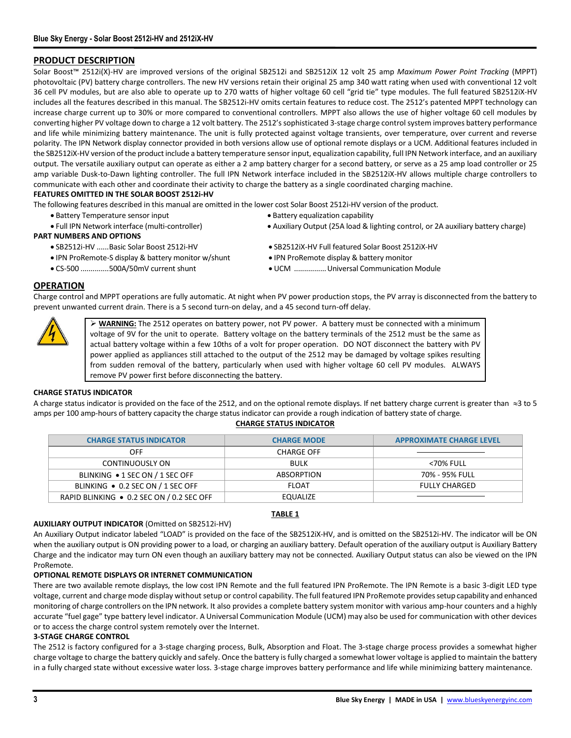## **PRODUCT DESCRIPTION**

Solar Boost<sup>™</sup> 2512i(X)-HV are improved versions of the original SB2512i and SB2512iX 12 volt 25 amp *Maximum Power Point Tracking* (MPPT) photovoltaic (PV) battery charge controllers. The new HV versions retain their original 25 amp 340 watt rating when used with conventional 12 volt 36 cell PV modules, but are also able to operate up to 270 watts of higher voltage 60 cell "grid tie" type modules. The full featured SB2512iX-HV includes all the features described in this manual. The SB2512i-HV omits certain features to reduce cost. The 2512's patented MPPT technology can increase charge current up to 30% or more compared to conventional controllers. MPPT also allows the use of higher voltage 60 cell modules by converting higher PV voltage down to charge a 12 volt battery. The 2512's sophisticated 3-stage charge control system improves battery performance and life while minimizing battery maintenance. The unit is fully protected against voltage transients, over temperature, over current and reverse polarity. The IPN Network display connector provided in both versions allow use of optional remote displays or a UCM. Additional features included in the SB2512iX-HV version of the product include a battery temperature sensor input, equalization capability, full IPN Network interface, and an auxiliary output. The versatile auxiliary output can operate as either a 2 amp battery charger for a second battery, or serve as a 25 amp load controller or 25 amp variable Dusk-to-Dawn lighting controller. The full IPN Network interface included in the SB2512iX-HV allows multiple charge controllers to communicate with each other and coordinate their activity to charge the battery as a single coordinated charging machine.

### **FEATURES OMITTED IN THE SOLAR BOOST 2512i-HV**

The following features described in this manual are omitted in the lower cost Solar Boost 2512i-HV version of the product.

- Battery Temperature sensor input Battery equalization capability
	-

### **PART NUMBERS AND OPTIONS**

- SB2512i-HV ......Basic Solar Boost 2512i-HV SB2512iX-HV Full featured Solar Boost 2512iX-HV
- IPN ProRemote-S display & battery monitor w/shunt IPN ProRemote display & battery monitor
- 
- 
- Full IPN Network interface (multi-controller) Auxiliary Output (25A load & lighting control, or 2A auxiliary battery charge)
	-
	-
- CS-500 ..............500A/50mV current shunt UCM ................Universal Communication Module

## **OPERATION**

Charge control and MPPT operations are fully automatic. At night when PV power production stops, the PV array is disconnected from the battery to prevent unwanted current drain. There is a 5 second turn-on delay, and a 45 second turn-off delay.

> ➢ **WARNING:** The 2512 operates on battery power, not PV power. A battery must be connected with a minimum voltage of 9V for the unit to operate. Battery voltage on the battery terminals of the 2512 must be the same as actual battery voltage within a few 10ths of a volt for proper operation. DO NOT disconnect the battery with PV power applied as appliances still attached to the output of the 2512 may be damaged by voltage spikes resulting from sudden removal of the battery, particularly when used with higher voltage 60 cell PV modules. ALWAYS remove PV power first before disconnecting the battery.

### **CHARGE STATUS INDICATOR**

A charge status indicator is provided on the face of the 2512, and on the optional remote displays. If net battery charge current is greater than  $\approx$ 3 to 5 amps per 100 amp-hours of battery capacity the charge status indicator can provide a rough indication of battery state of charge.

### **CHARGE STATUS INDICATOR**

| <b>CHARGE STATUS INDICATOR</b>            | <b>CHARGE MODE</b> | <b>APPROXIMATE CHARGE LEVEL</b> |
|-------------------------------------------|--------------------|---------------------------------|
| OFF                                       | <b>CHARGE OFF</b>  |                                 |
| CONTINUOUSLY ON                           | <b>BULK</b>        | <70% FULL                       |
| BLINKING • 1 SEC ON / 1 SEC OFF           | ABSORPTION         | 70% - 95% FULL                  |
| BLINKING • 0.2 SEC ON / 1 SEC OFF         | <b>FLOAT</b>       | <b>FULLY CHARGED</b>            |
| RAPID BLINKING ● 0.2 SEC ON / 0.2 SEC OFF | EQUALIZE           |                                 |

### **TABLE 1**

### **AUXILIARY OUTPUT INDICATOR** (Omitted on SB2512i-HV)

An Auxiliary Output indicator labeled "LOAD" is provided on the face of the SB2512iX-HV, and is omitted on the SB2512i-HV. The indicator will be ON when the auxiliary output is ON providing power to a load, or charging an auxiliary battery. Default operation of the auxiliary output is Auxiliary Battery Charge and the indicator may turn ON even though an auxiliary battery may not be connected. Auxiliary Output status can also be viewed on the IPN ProRemote.

### **OPTIONAL REMOTE DISPLAYS OR INTERNET COMMUNICATION**

There are two available remote displays, the low cost IPN Remote and the full featured IPN ProRemote. The IPN Remote is a basic 3-digit LED type voltage, current and charge mode display without setup or control capability. The full featured IPN ProRemote provides setup capability and enhanced monitoring of charge controllers on the IPN network. It also provides a complete battery system monitor with various amp-hour counters and a highly accurate "fuel gage" type battery level indicator. A Universal Communication Module (UCM) may also be used for communication with other devices or to access the charge control system remotely over the Internet.

### **3-STAGE CHARGE CONTROL**

The 2512 is factory configured for a 3-stage charging process, Bulk, Absorption and Float. The 3-stage charge process provides a somewhat higher charge voltage to charge the battery quickly and safely. Once the battery is fully charged a somewhat lower voltage is applied to maintain the battery in a fully charged state without excessive water loss. 3-stage charge improves battery performance and life while minimizing battery maintenance.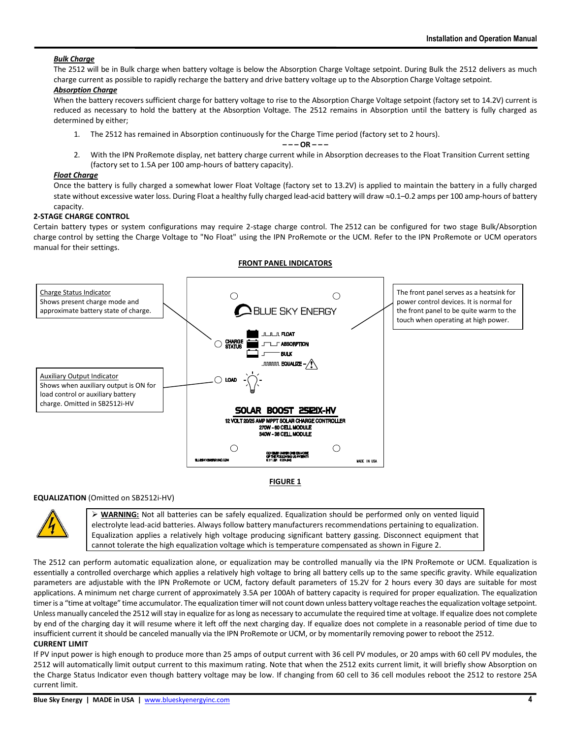## *Bulk Charge*

The 2512 will be in Bulk charge when battery voltage is below the Absorption Charge Voltage setpoint. During Bulk the 2512 delivers as much charge current as possible to rapidly recharge the battery and drive battery voltage up to the Absorption Charge Voltage setpoint.

#### *Absorption Charge*

When the battery recovers sufficient charge for battery voltage to rise to the Absorption Charge Voltage setpoint (factory set to 14.2V) current is reduced as necessary to hold the battery at the Absorption Voltage. The 2512 remains in Absorption until the battery is fully charged as determined by either;

1. The 2512 has remained in Absorption continuously for the Charge Time period (factory set to 2 hours).

#### **– – – OR – – –**

2. With the IPN ProRemote display, net battery charge current while in Absorption decreases to the Float Transition Current setting (factory set to 1.5A per 100 amp-hours of battery capacity).

#### *Float Charge*

Once the battery is fully charged a somewhat lower Float Voltage (factory set to 13.2V) is applied to maintain the battery in a fully charged state without excessive water loss. During Float a healthy fully charged lead-acid battery will draw ≈0.1–0.2 amps per 100 amp-hours of battery capacity.

### **2-STAGE CHARGE CONTROL**

Certain battery types or system configurations may require 2-stage charge control. The 2512 can be configured for two stage Bulk/Absorption charge control by setting the Charge Voltage to "No Float" using the IPN ProRemote or the UCM. Refer to the IPN ProRemote or UCM operators manual for their settings.

**FRONT PANEL INDICATORS**



### **EQUALIZATION** (Omitted on SB2512i-HV)



➢ **WARNING:** Not all batteries can be safely equalized. Equalization should be performed only on vented liquid electrolyte lead-acid batteries. Always follow battery manufacturers recommendations pertaining to equalization. Equalization applies a relatively high voltage producing significant battery gassing. Disconnect equipment that cannot tolerate the high equalization voltage which is temperature compensated as shown in Figure 2.

The 2512 can perform automatic equalization alone, or equalization may be controlled manually via the IPN ProRemote or UCM. Equalization is essentially a controlled overcharge which applies a relatively high voltage to bring all battery cells up to the same specific gravity. While equalization parameters are adjustable with the IPN ProRemote or UCM, factory default parameters of 15.2V for 2 hours every 30 days are suitable for most applications. A minimum net charge current of approximately 3.5A per 100Ah of battery capacity is required for proper equalization. The equalization timer is a "time at voltage" time accumulator. The equalization timer will not count down unless battery voltage reaches the equalization voltage setpoint. Unless manually canceled the 2512 will stay in equalize for as long as necessary to accumulate the required time at voltage. If equalize does not complete by end of the charging day it will resume where it left off the next charging day. If equalize does not complete in a reasonable period of time due to insufficient current it should be canceled manually via the IPN ProRemote or UCM, or by momentarily removing power to reboot the 2512.

#### **CURRENT LIMIT**

If PV input power is high enough to produce more than 25 amps of output current with 36 cell PV modules, or 20 amps with 60 cell PV modules, the 2512 will automatically limit output current to this maximum rating. Note that when the 2512 exits current limit, it will briefly show Absorption on the Charge Status Indicator even though battery voltage may be low. If changing from 60 cell to 36 cell modules reboot the 2512 to restore 25A current limit.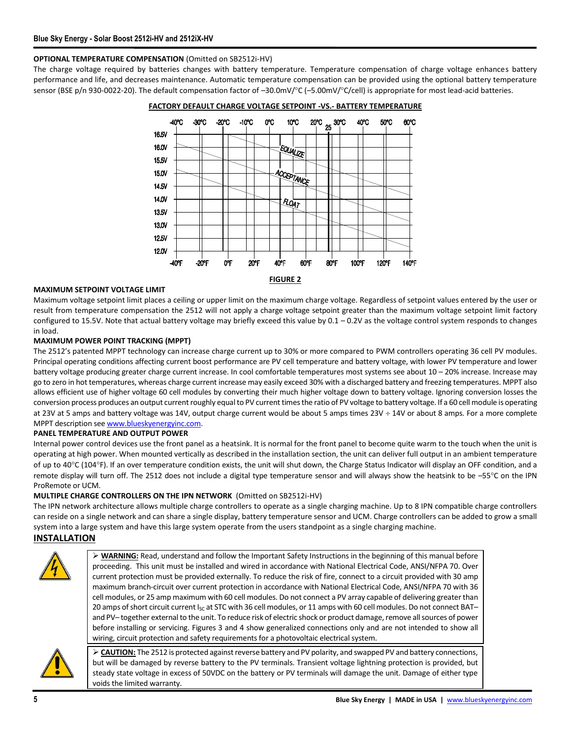## **OPTIONAL TEMPERATURE COMPENSATION** (Omitted on SB2512i-HV)

The charge voltage required by batteries changes with battery temperature. Temperature compensation of charge voltage enhances battery performance and life, and decreases maintenance. Automatic temperature compensation can be provided using the optional battery temperature sensor (BSE p/n 930-0022-20). The default compensation factor of  $-30.0$ mV/ $^{\circ}$ C ( $-5.00$ mV/ $^{\circ}$ C/cell) is appropriate for most lead-acid batteries.



**FACTORY DEFAULT CHARGE VOLTAGE SETPOINT -VS.- BATTERY TEMPERATURE**

#### **MAXIMUM SETPOINT VOLTAGE LIMIT**

Maximum voltage setpoint limit places a ceiling or upper limit on the maximum charge voltage. Regardless of setpoint values entered by the user or result from temperature compensation the 2512 will not apply a charge voltage setpoint greater than the maximum voltage setpoint limit factory configured to 15.5V. Note that actual battery voltage may briefly exceed this value by 0.1 – 0.2V as the voltage control system responds to changes in load.

### **MAXIMUM POWER POINT TRACKING (MPPT)**

The 2512's patented MPPT technology can increase charge current up to 30% or more compared to PWM controllers operating 36 cell PV modules. Principal operating conditions affecting current boost performance are PV cell temperature and battery voltage, with lower PV temperature and lower battery voltage producing greater charge current increase. In cool comfortable temperatures most systems see about 10 – 20% increase. Increase may go to zero in hot temperatures, whereas charge current increase may easily exceed 30% with a discharged battery and freezing temperatures. MPPT also allows efficient use of higher voltage 60 cell modules by converting their much higher voltage down to battery voltage. Ignoring conversion losses the conversion process produces an output current roughly equal to PV current times the ratio of PV voltage to battery voltage. If a 60 cell module is operating at 23V at 5 amps and battery voltage was 14V, output charge current would be about 5 amps times  $23V \div 14V$  or about 8 amps. For a more complete MPPT description see [www.blueskyenergyinc.com.](http://www.blueskyenergyinc.com/)

#### **PANEL TEMPERATURE AND OUTPUT POWER**

Internal power control devices use the front panel as a heatsink. It is normal for the front panel to become quite warm to the touch when the unit is operating at high power. When mounted vertically as described in the installation section, the unit can deliver full output in an ambient temperature of up to 40°C (104°F). If an over temperature condition exists, the unit will shut down, the Charge Status Indicator will display an OFF condition, and a remote display will turn off. The 2512 does not include a digital type temperature sensor and will always show the heatsink to be –55°C on the IPN ProRemote or UCM.

### **MULTIPLE CHARGE CONTROLLERS ON THE IPN NETWORK** (Omitted on SB2512i-HV)

The IPN network architecture allows multiple charge controllers to operate as a single charging machine. Up to 8 IPN compatible charge controllers can reside on a single network and can share a single display, battery temperature sensor and UCM. Charge controllers can be added to grow a small system into a large system and have this large system operate from the users standpoint as a single charging machine.

## **INSTALLATION**



➢ **WARNING:** Read, understand and follow the Important Safety Instructions in the beginning of this manual before proceeding. This unit must be installed and wired in accordance with National Electrical Code, ANSI/NFPA 70. Over current protection must be provided externally. To reduce the risk of fire, connect to a circuit provided with 30 amp maximum branch-circuit over current protection in accordance with National Electrical Code, ANSI/NFPA 70 with 36 cell modules, or 25 amp maximum with 60 cell modules. Do not connect a PV array capable of delivering greater than 20 amps of short circuit current  $I_{SC}$  at STC with 36 cell modules, or 11 amps with 60 cell modules. Do not connect BAT– and PV– together external to the unit. To reduce risk of electric shock or product damage, remove all sources of power before installing or servicing. Figures 3 and 4 show generalized connections only and are not intended to show all wiring, circuit protection and safety requirements for a photovoltaic electrical system.



➢ **CAUTION:** The 2512 is protected against reverse battery and PV polarity, and swapped PV and battery connections, but will be damaged by reverse battery to the PV terminals. Transient voltage lightning protection is provided, but steady state voltage in excess of 50VDC on the battery or PV terminals will damage the unit. Damage of either type voids the limited warranty.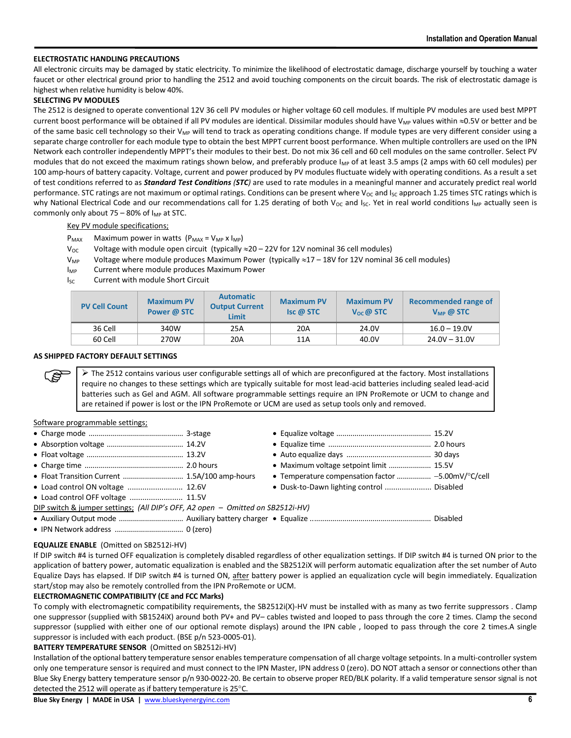## **ELECTROSTATIC HANDLING PRECAUTIONS**

All electronic circuits may be damaged by static electricity. To minimize the likelihood of electrostatic damage, discharge yourself by touching a water faucet or other electrical ground prior to handling the 2512 and avoid touching components on the circuit boards. The risk of electrostatic damage is highest when relative humidity is below 40%.

#### **SELECTING PV MODULES**

The 2512 is designed to operate conventional 12V 36 cell PV modules or higher voltage 60 cell modules. If multiple PV modules are used best MPPT current boost performance will be obtained if all PV modules are identical. Dissimilar modules should have V<sub>MP</sub> values within  $\approx$ 0.5V or better and be of the same basic cell technology so their V<sub>MP</sub> will tend to track as operating conditions change. If module types are very different consider using a separate charge controller for each module type to obtain the best MPPT current boost performance. When multiple controllers are used on the IPN Network each controller independently MPPT's their modules to their best. Do not mix 36 cell and 60 cell modules on the same controller. Select PV modules that do not exceed the maximum ratings shown below, and preferably produce  $I_{MP}$  of at least 3.5 amps (2 amps with 60 cell modules) per 100 amp-hours of battery capacity. Voltage, current and power produced by PV modules fluctuate widely with operating conditions. As a result a set of test conditions referred to as *Standard Test Conditions (STC)* are used to rate modules in a meaningful manner and accurately predict real world performance. STC ratings are not maximum or optimal ratings. Conditions can be present where  $V_{OC}$  and  $I_{SC}$  approach 1.25 times STC ratings which is why National Electrical Code and our recommendations call for 1.25 derating of both V<sub>OC</sub> and I<sub>SC</sub>. Yet in real world conditions I<sub>MP</sub> actually seen is commonly only about 75 – 80% of  $I_{MP}$  at STC.

Key PV module specifications;

- $P_{MAX}$  Maximum power in watts  $(P_{MAX} = V_{MP} \times I_{MP})$
- $V_{\text{OC}}$  Voltage with module open circuit (typically  $\approx$  20 22V for 12V nominal 36 cell modules)
- $V_{MP}$  Voltage where module produces Maximum Power (typically  $\approx$  17 18V for 12V nominal 36 cell modules)
- I<sub>MP</sub> Current where module produces Maximum Power
- I<sub>SC</sub> Current with module Short Circuit

| <b>PV Cell Count</b> | <b>Maximum PV</b><br>Power @ STC | <b>Automatic</b><br><b>Output Current</b><br><b>Limit</b> | <b>Maximum PV</b><br>$\mathsf{Isc} \mathsf{a}$ STC | <b>Maximum PV</b><br>$V_{\alpha c}$ @ STC | Recommended range of<br>$V_{MP}$ @ STC |
|----------------------|----------------------------------|-----------------------------------------------------------|----------------------------------------------------|-------------------------------------------|----------------------------------------|
| 36 Cell              | 340W                             | 25A                                                       | 20A                                                | 24.0V                                     | $16.0 - 19.0V$                         |
| 60 Cell              | 270W                             | 20A                                                       | 11A                                                | 40.0V                                     | $24.0V - 31.0V$                        |

#### **AS SHIPPED FACTORY DEFAULT SETTINGS**

 $\triangleright$  The 2512 contains various user configurable settings all of which are preconfigured at the factory. Most installations require no changes to these settings which are typically suitable for most lead-acid batteries including sealed lead-acid batteries such as Gel and AGM. All software programmable settings require an IPN ProRemote or UCM to change and are retained if power is lost or the IPN ProRemote or UCM are used as setup tools only and removed.

#### Software programmable settings;

Lŝ

|                                                                                | • Maximum voltage setpoint limit  15.5V   |  |
|--------------------------------------------------------------------------------|-------------------------------------------|--|
|                                                                                |                                           |  |
| • Load control ON voltage  12.6V                                               | • Dusk-to-Dawn lighting control  Disabled |  |
| • Load control OFF voltage  11.5V                                              |                                           |  |
| DIP switch & jumper settings; (All DIP's OFF, A2 open – Omitted on SB2512i-HV) |                                           |  |
|                                                                                |                                           |  |
|                                                                                |                                           |  |

#### **EQUALIZE ENABLE** (Omitted on SB2512i-HV)

If DIP switch #4 is turned OFF equalization is completely disabled regardless of other equalization settings. If DIP switch #4 is turned ON prior to the application of battery power, automatic equalization is enabled and the SB2512iX will perform automatic equalization after the set number of Auto Equalize Days has elapsed. If DIP switch #4 is turned ON, after battery power is applied an equalization cycle will begin immediately. Equalization start/stop may also be remotely controlled from the IPN ProRemote or UCM.

### **ELECTROMAGNETIC COMPATIBILITY (CE and FCC Marks)**

To comply with electromagnetic compatibility requirements, the SB2512i(X)-HV must be installed with as many as two ferrite suppressors . Clamp one suppressor (supplied with SB1524iX) around both PV+ and PV– cables twisted and looped to pass through the core 2 times. Clamp the second suppressor (supplied with either one of our optional remote displays) around the IPN cable , looped to pass through the core 2 times.A single suppressor is included with each product. (BSE p/n 523-0005-01).

#### **BATTERY TEMPERATURE SENSOR** (Omitted on SB2512i-HV)

Installation of the optional battery temperature sensor enables temperature compensation of all charge voltage setpoints. In a multi-controller system only one temperature sensor is required and must connect to the IPN Master, IPN address 0 (zero). DO NOT attach a sensor or connections other than Blue Sky Energy battery temperature sensor p/n 930-0022-20. Be certain to observe proper RED/BLK polarity. If a valid temperature sensor signal is not detected the 2512 will operate as if battery temperature is 25°C.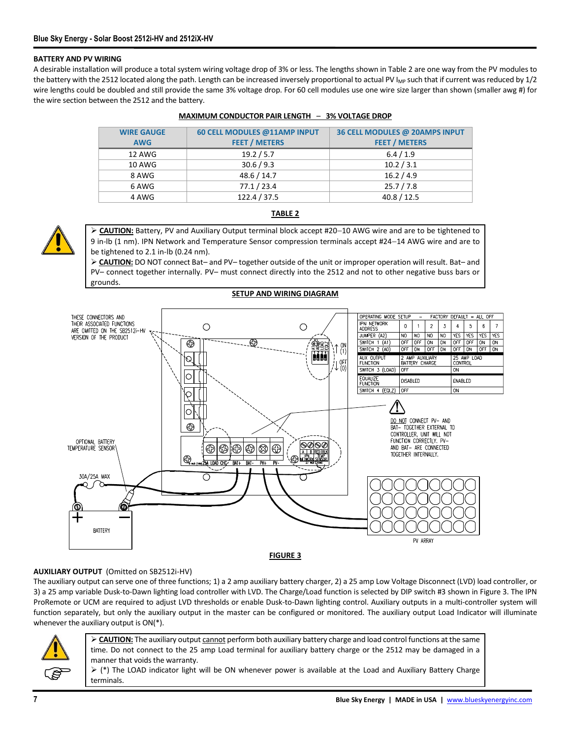#### **BATTERY AND PV WIRING**

A desirable installation will produce a total system wiring voltage drop of 3% or less. The lengths shown in Table 2 are one way from the PV modules to the battery with the 2512 located along the path. Length can be increased inversely proportional to actual PV I<sub>MP</sub> such that if current was reduced by 1/2 wire lengths could be doubled and still provide the same 3% voltage drop. For 60 cell modules use one wire size larger than shown (smaller awg #) for the wire section between the 2512 and the battery.

| <b>WIRE GAUGE</b> | 60 CELL MODULES @11AMP INPUT | 36 CELL MODULES @ 20AMPS INPUT |
|-------------------|------------------------------|--------------------------------|
| <b>AWG</b>        | <b>FEET / METERS</b>         | <b>FEET / METERS</b>           |
| 12 AWG            | 19.2 / 5.7                   | 6.4 / 1.9                      |
| 10 AWG            | 30.6 / 9.3                   | 10.2 / 3.1                     |
| 8 AWG             | 48.6 / 14.7                  | 16.2 / 4.9                     |
| 6 AWG             | 77.1 / 23.4                  | 25.7 / 7.8                     |
| 4 AWG             | 122.4 / 37.5                 | 40.8 / 12.5                    |

#### **MAXIMUM CONDUCTOR PAIR LENGTH** – **3% VOLTAGE DROP**



# **TABLE 2**

➢ **CAUTION:** Battery, PV and Auxiliary Output terminal block accept #20−10 AWG wire and are to be tightened to 9 in-lb (1 nm). IPN Network and Temperature Sensor compression terminals accept #24−14 AWG wire and are to be tightened to 2.1 in-lb (0.24 nm).

➢ **CAUTION:** DO NOT connect Bat– and PV– together outside of the unit or improper operation will result. Bat– and PV– connect together internally. PV– must connect directly into the 2512 and not to other negative buss bars or grounds.



### **AUXILIARY OUTPUT** (Omitted on SB2512i-HV)

The auxiliary output can serve one of three functions; 1) a 2 amp auxiliary battery charger, 2) a 25 amp Low Voltage Disconnect (LVD) load controller, or 3) a 25 amp variable Dusk-to-Dawn lighting load controller with LVD. The Charge/Load function is selected by DIP switch #3 shown in Figure 3. The IPN ProRemote or UCM are required to adjust LVD thresholds or enable Dusk-to-Dawn lighting control. Auxiliary outputs in a multi-controller system will function separately, but only the auxiliary output in the master can be configured or monitored. The auxiliary output Load Indicator will illuminate whenever the auxiliary output is ON(\*).



➢ **CAUTION:** The auxiliary output cannot perform both auxiliary battery charge and load control functions at the same time. Do not connect to the 25 amp Load terminal for auxiliary battery charge or the 2512 may be damaged in a manner that voids the warranty.

 $▶$  (\*) The LOAD indicator light will be ON whenever power is available at the Load and Auxiliary Battery Charge terminals.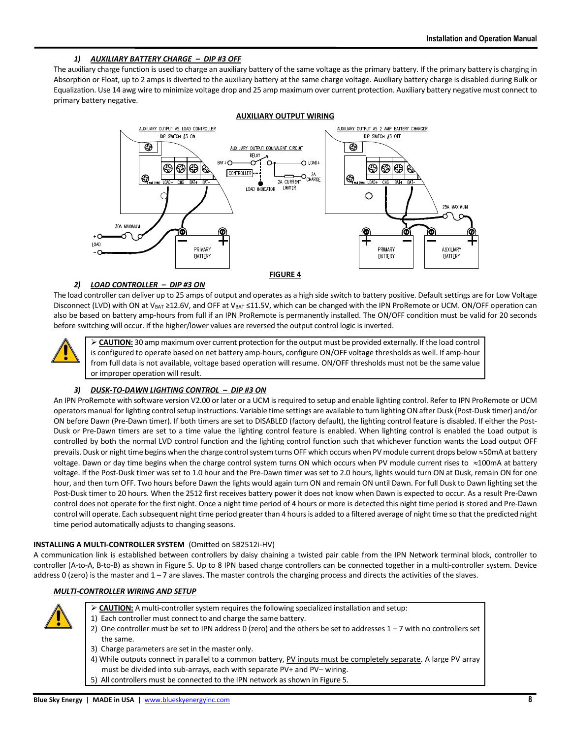## *1) AUXILIARY BATTERY CHARGE – DIP #3 OFF*

The auxiliary charge function is used to charge an auxiliary battery of the same voltage as the primary battery. If the primary battery is charging in Absorption or Float, up to 2 amps is diverted to the auxiliary battery at the same charge voltage. Auxiliary battery charge is disabled during Bulk or Equalization. Use 14 awg wire to minimize voltage drop and 25 amp maximum over current protection. Auxiliary battery negative must connect to primary battery negative.



## *2) LOAD CONTROLLER – DIP #3 ON*

The load controller can deliver up to 25 amps of output and operates as a high side switch to battery positive. Default settings are for Low Voltage Disconnect (LVD) with ON at V<sub>BAT</sub> ≥12.6V, and OFF at V<sub>BAT</sub> ≤11.5V, which can be changed with the IPN ProRemote or UCM. ON/OFF operation can also be based on battery amp-hours from full if an IPN ProRemote is permanently installed. The ON/OFF condition must be valid for 20 seconds before switching will occur. If the higher/lower values are reversed the output control logic is inverted.



➢ **CAUTION:** 30 amp maximum over current protection for the output must be provided externally. If the load control is configured to operate based on net battery amp-hours, configure ON/OFF voltage thresholds as well. If amp-hour from full data is not available, voltage based operation will resume. ON/OFF thresholds must not be the same value or improper operation will result.

## *3) DUSK-TO-DAWN LIGHTING CONTROL – DIP #3 ON*

An IPN ProRemote with software version V2.00 or later or a UCM is required to setup and enable lighting control. Refer to IPN ProRemote or UCM operators manual for lighting control setup instructions. Variable time settings are available to turn lighting ON after Dusk (Post-Dusk timer) and/or ON before Dawn (Pre-Dawn timer). If both timers are set to DISABLED (factory default), the lighting control feature is disabled. If either the Post-Dusk or Pre-Dawn timers are set to a time value the lighting control feature is enabled. When lighting control is enabled the Load output is controlled by both the normal LVD control function and the lighting control function such that whichever function wants the Load output OFF prevails. Dusk or night time begins when the charge control system turns OFF which occurs when PV module current drops below  $\approx$  50mA at battery voltage. Dawn or day time begins when the charge control system turns ON which occurs when PV module current rises to  $\approx$ 100mA at battery voltage. If the Post-Dusk timer was set to 1.0 hour and the Pre-Dawn timer was set to 2.0 hours, lights would turn ON at Dusk, remain ON for one hour, and then turn OFF. Two hours before Dawn the lights would again turn ON and remain ON until Dawn. For full Dusk to Dawn lighting set the Post-Dusk timer to 20 hours. When the 2512 first receives battery power it does not know when Dawn is expected to occur. As a result Pre-Dawn control does not operate for the first night. Once a night time period of 4 hours or more is detected this night time period is stored and Pre-Dawn control will operate. Each subsequent night time period greater than 4 hours is added to a filtered average of night time so that the predicted night time period automatically adjusts to changing seasons.

## **INSTALLING A MULTI-CONTROLLER SYSTEM** (Omitted on SB2512i-HV)

A communication link is established between controllers by daisy chaining a twisted pair cable from the IPN Network terminal block, controller to controller (A-to-A, B-to-B) as shown in Figure 5. Up to 8 IPN based charge controllers can be connected together in a multi-controller system. Device address 0 (zero) is the master and  $1 - 7$  are slaves. The master controls the charging process and directs the activities of the slaves.

## *MULTI-CONTROLLER WIRING AND SETUP*



- ➢ **CAUTION:** A multi-controller system requires the following specialized installation and setup:
- 1) Each controller must connect to and charge the same battery.
- 2) One controller must be set to IPN address 0 (zero) and the others be set to addresses 1 7 with no controllers set the same.
- 3) Charge parameters are set in the master only.
- 4) While outputs connect in parallel to a common battery, PV inputs must be completely separate. A large PV array must be divided into sub-arrays, each with separate PV+ and PV– wiring.
- 5) All controllers must be connected to the IPN network as shown in Figure 5.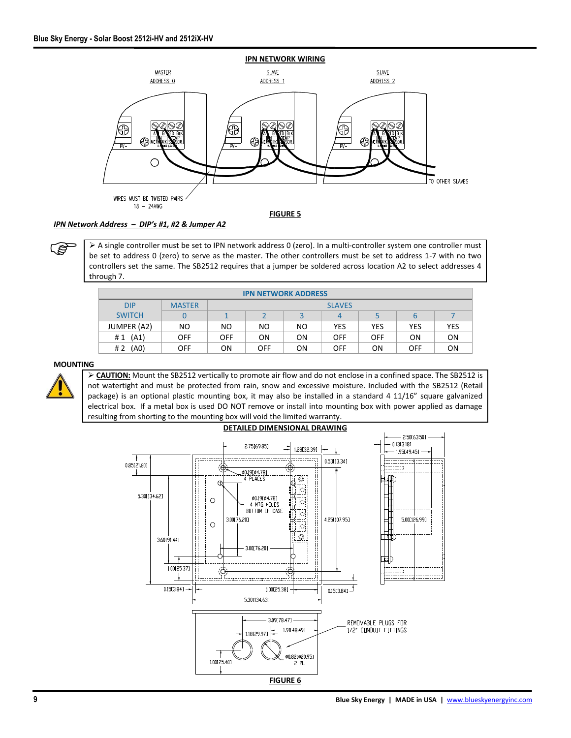

#### *IPN Network Address – DIP's #1, #2 & Jumper A2*

➢ A single controller must be set to IPN network address 0 (zero). In a multi-controller system one controller must be set to address 0 (zero) to serve as the master. The other controllers must be set to address 1-7 with no two controllers set the same. The SB2512 requires that a jumper be soldered across location A2 to select addresses 4 through 7.

| <b>IPN NETWORK ADDRESS</b> |               |            |            |     |               |            |            |            |
|----------------------------|---------------|------------|------------|-----|---------------|------------|------------|------------|
| <b>DIP</b>                 | <b>MASTER</b> |            |            |     | <b>SLAVES</b> |            |            |            |
| <b>SWITCH</b>              |               |            |            | ∍   | 4             |            |            |            |
| JUMPER (A2)                | NO            | NO.        | NO         | NO. | <b>YES</b>    | YES        | <b>YES</b> | <b>YES</b> |
| (A1)<br>#1                 | <b>OFF</b>    | <b>OFF</b> | <b>ON</b>  | ON  | <b>OFF</b>    | <b>OFF</b> | ΟN         | ON         |
| (A <sub>0</sub> )<br>#2    | <b>OFF</b>    | ΟN         | <b>OFF</b> | OΝ  | <b>OFF</b>    | ΟN         | <b>OFF</b> | ON         |

## **MOUNTING**

ເອ

➢ **CAUTION:** Mount the SB2512 vertically to promote air flow and do not enclose in a confined space. The SB2512 is not watertight and must be protected from rain, snow and excessive moisture. Included with the SB2512 (Retail package) is an optional plastic mounting box, it may also be installed in a standard 4 11/16" square galvanized electrical box. If a metal box is used DO NOT remove or install into mounting box with power applied as damage resulting from shorting to the mounting box will void the limited warranty.

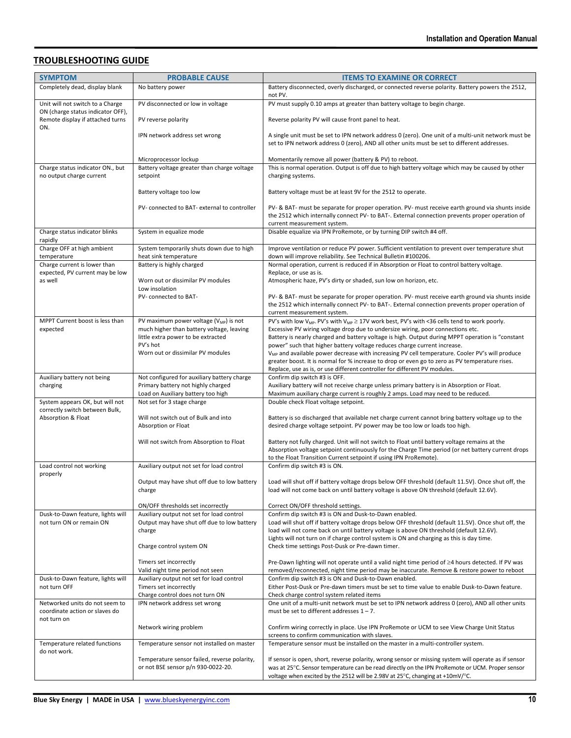# **TROUBLESHOOTING GUIDE**

| <b>SYMPTOM</b>                                                               | <b>PROBABLE CAUSE</b>                                                                              | <b>ITEMS TO EXAMINE OR CORRECT</b>                                                                                                                                                                                                                                                       |  |
|------------------------------------------------------------------------------|----------------------------------------------------------------------------------------------------|------------------------------------------------------------------------------------------------------------------------------------------------------------------------------------------------------------------------------------------------------------------------------------------|--|
| Completely dead, display blank                                               | No battery power                                                                                   | Battery disconnected, overly discharged, or connected reverse polarity. Battery powers the 2512,<br>not PV.                                                                                                                                                                              |  |
| Unit will not switch to a Charge                                             | PV disconnected or low in voltage                                                                  | PV must supply 0.10 amps at greater than battery voltage to begin charge.                                                                                                                                                                                                                |  |
| ON (charge status indicator OFF),<br>Remote display if attached turns<br>ON. | PV reverse polarity                                                                                | Reverse polarity PV will cause front panel to heat.                                                                                                                                                                                                                                      |  |
|                                                                              | IPN network address set wrong                                                                      | A single unit must be set to IPN network address 0 (zero). One unit of a multi-unit network must be<br>set to IPN network address 0 (zero), AND all other units must be set to different addresses.                                                                                      |  |
|                                                                              | Microprocessor lockup                                                                              | Momentarily remove all power (battery & PV) to reboot.                                                                                                                                                                                                                                   |  |
| Charge status indicator ON., but                                             | Battery voltage greater than charge voltage                                                        | This is normal operation. Output is off due to high battery voltage which may be caused by other                                                                                                                                                                                         |  |
| no output charge current                                                     | setpoint                                                                                           | charging systems.                                                                                                                                                                                                                                                                        |  |
|                                                                              | Battery voltage too low                                                                            | Battery voltage must be at least 9V for the 2512 to operate.                                                                                                                                                                                                                             |  |
|                                                                              | PV- connected to BAT- external to controller                                                       | PV- & BAT- must be separate for proper operation. PV- must receive earth ground via shunts inside<br>the 2512 which internally connect PV- to BAT-. External connection prevents proper operation of<br>current measurement system.                                                      |  |
| Charge status indicator blinks<br>rapidly                                    | System in equalize mode                                                                            | Disable equalize via IPN ProRemote, or by turning DIP switch #4 off.                                                                                                                                                                                                                     |  |
| Charge OFF at high ambient<br>temperature                                    | System temporarily shuts down due to high<br>heat sink temperature                                 | Improve ventilation or reduce PV power. Sufficient ventilation to prevent over temperature shut<br>down will improve reliability. See Technical Bulletin #100206.                                                                                                                        |  |
| Charge current is lower than                                                 | Battery is highly charged                                                                          | Normal operation, current is reduced if in Absorption or Float to control battery voltage.                                                                                                                                                                                               |  |
| expected, PV current may be low<br>as well                                   | Worn out or dissimilar PV modules                                                                  | Replace, or use as is.<br>Atmospheric haze, PV's dirty or shaded, sun low on horizon, etc.                                                                                                                                                                                               |  |
|                                                                              | Low insolation                                                                                     |                                                                                                                                                                                                                                                                                          |  |
|                                                                              | PV-connected to BAT-                                                                               | PV- & BAT- must be separate for proper operation. PV- must receive earth ground via shunts inside<br>the 2512 which internally connect PV- to BAT-. External connection prevents proper operation of<br>current measurement system.                                                      |  |
| MPPT Current boost is less than                                              | PV maximum power voltage (V <sub>MP</sub> ) is not                                                 | PV's with low $V_{MP}$ . PV's with $V_{MP} \ge 17V$ work best, PV's with <36 cells tend to work poorly.                                                                                                                                                                                  |  |
| expected                                                                     | much higher than battery voltage, leaving<br>little extra power to be extracted                    | Excessive PV wiring voltage drop due to undersize wiring, poor connections etc.<br>Battery is nearly charged and battery voltage is high. Output during MPPT operation is "constant                                                                                                      |  |
|                                                                              | PV's hot                                                                                           | power" such that higher battery voltage reduces charge current increase.                                                                                                                                                                                                                 |  |
|                                                                              | Worn out or dissimilar PV modules                                                                  | V <sub>MP</sub> and available power decrease with increasing PV cell temperature. Cooler PV's will produce<br>greater boost. It is normal for % increase to drop or even go to zero as PV temperature rises.                                                                             |  |
|                                                                              |                                                                                                    | Replace, use as is, or use different controller for different PV modules.                                                                                                                                                                                                                |  |
| Auxiliary battery not being<br>charging                                      | Not configured for auxiliary battery charge<br>Primary battery not highly charged                  | Confirm dip switch #3 is OFF.<br>Auxiliary battery will not receive charge unless primary battery is in Absorption or Float.                                                                                                                                                             |  |
|                                                                              | Load on Auxiliary battery too high                                                                 | Maximum auxiliary charge current is roughly 2 amps. Load may need to be reduced.                                                                                                                                                                                                         |  |
| System appears OK, but will not<br>correctly switch between Bulk,            | Not set for 3 stage charge                                                                         | Double check Float voltage setpoint.                                                                                                                                                                                                                                                     |  |
| Absorption & Float                                                           | Will not switch out of Bulk and into<br>Absorption or Float                                        | Battery is so discharged that available net charge current cannot bring battery voltage up to the<br>desired charge voltage setpoint. PV power may be too low or loads too high.                                                                                                         |  |
|                                                                              | Will not switch from Absorption to Float                                                           | Battery not fully charged. Unit will not switch to Float until battery voltage remains at the<br>Absorption voltage setpoint continuously for the Charge Time period (or net battery current drops                                                                                       |  |
| Load control not working                                                     | Auxiliary output not set for load control                                                          | to the Float Transition Current setpoint if using IPN ProRemote).<br>Confirm dip switch #3 is ON.                                                                                                                                                                                        |  |
| properly                                                                     |                                                                                                    |                                                                                                                                                                                                                                                                                          |  |
|                                                                              | Output may have shut off due to low battery<br>charge                                              | Load will shut off if battery voltage drops below OFF threshold (default 11.5V). Once shut off, the<br>load will not come back on until battery voltage is above ON threshold (default 12.6V).                                                                                           |  |
|                                                                              | ON/OFF thresholds set incorrectly                                                                  | Correct ON/OFF threshold settings.                                                                                                                                                                                                                                                       |  |
| Dusk-to-Dawn feature, lights will<br>not turn ON or remain ON                | Auxiliary output not set for load control<br>Output may have shut off due to low battery<br>charge | Confirm dip switch #3 is ON and Dusk-to-Dawn enabled.<br>Load will shut off if battery voltage drops below OFF threshold (default 11.5V). Once shut off, the<br>load will not come back on until battery voltage is above ON threshold (default 12.6V).                                  |  |
|                                                                              | Charge control system ON                                                                           | Lights will not turn on if charge control system is ON and charging as this is day time.<br>Check time settings Post-Dusk or Pre-dawn timer.                                                                                                                                             |  |
|                                                                              | Timers set incorrectly<br>Valid night time period not seen                                         | Pre-Dawn lighting will not operate until a valid night time period of $\geq 4$ hours detected. If PV was<br>removed/reconnected, night time period may be inaccurate. Remove & restore power to reboot                                                                                   |  |
| Dusk-to-Dawn feature, lights will                                            | Auxiliary output not set for load control                                                          | Confirm dip switch #3 is ON and Dusk-to-Dawn enabled.                                                                                                                                                                                                                                    |  |
| not turn OFF                                                                 | Timers set incorrectly<br>Charge control does not turn ON                                          | Either Post-Dusk or Pre-dawn timers must be set to time value to enable Dusk-to-Dawn feature.<br>Check charge control system related items                                                                                                                                               |  |
| Networked units do not seem to<br>coordinate action or slaves do             | IPN network address set wrong                                                                      | One unit of a multi-unit network must be set to IPN network address 0 (zero), AND all other units<br>must be set to different addresses $1 - 7$ .                                                                                                                                        |  |
| not turn on                                                                  | Network wiring problem                                                                             | Confirm wiring correctly in place. Use IPN ProRemote or UCM to see View Charge Unit Status<br>screens to confirm communication with slaves.                                                                                                                                              |  |
| Temperature related functions                                                | Temperature sensor not installed on master                                                         | Temperature sensor must be installed on the master in a multi-controller system.                                                                                                                                                                                                         |  |
| do not work.                                                                 | Temperature sensor failed, reverse polarity,<br>or not BSE sensor p/n 930-0022-20.                 | If sensor is open, short, reverse polarity, wrong sensor or missing system will operate as if sensor<br>was at 25°C. Sensor temperature can be read directly on the IPN ProRemote or UCM. Proper sensor<br>voltage when excited by the 2512 will be 2.98V at 25°C, changing at +10mV/°C. |  |